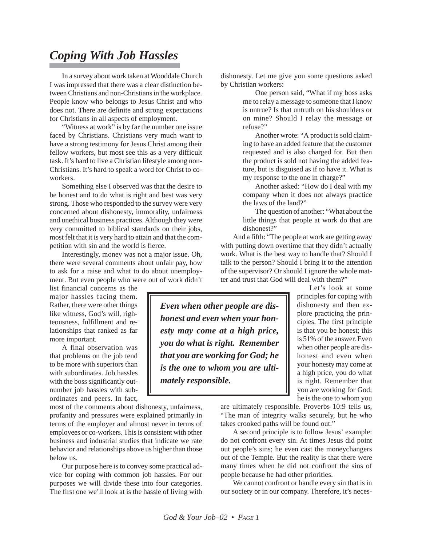## *Coping With Job Hassles*

In a survey about work taken at Wooddale Church I was impressed that there was a clear distinction between Christians and non-Christians in the workplace. People know who belongs to Jesus Christ and who does not. There are definite and strong expectations for Christians in all aspects of employment.

"Witness at work" is by far the number one issue faced by Christians. Christians very much want to have a strong testimony for Jesus Christ among their fellow workers, but most see this as a very difficult task. It's hard to live a Christian lifestyle among non-Christians. It's hard to speak a word for Christ to coworkers.

Something else I observed was that the desire to be honest and to do what is right and best was very strong. Those who responded to the survey were very concerned about dishonesty, immorality, unfairness and unethical business practices. Although they were very committed to biblical standards on their jobs, most felt that it is very hard to attain and that the competition with sin and the world is fierce.

Interestingly, money was not a major issue. Oh, there were several comments about unfair pay, how to ask for a raise and what to do about unemployment. But even people who were out of work didn't

list financial concerns as the major hassles facing them. Rather, there were other things like witness, God's will, righteousness, fulfillment and relationships that ranked as far more important.

A final observation was that problems on the job tend to be more with superiors than with subordinates. Job hassles with the boss significantly outnumber job hassles with subordinates and peers. In fact,

most of the comments about dishonesty, unfairness, profanity and pressures were explained primarily in terms of the employer and almost never in terms of employees or co-workers. This is consistent with other business and industrial studies that indicate we rate behavior and relationships above us higher than those below us.

Our purpose here is to convey some practical advice for coping with common job hassles. For our purposes we will divide these into four categories. The first one we'll look at is the hassle of living with

dishonesty. Let me give you some questions asked by Christian workers:

> One person said, "What if my boss asks me to relay a message to someone that I know is untrue? Is that untruth on his shoulders or on mine? Should I relay the message or refuse?"

> Another wrote: "A product is sold claiming to have an added feature that the customer requested and is also charged for. But then the product is sold not having the added feature, but is disguised as if to have it. What is my response to the one in charge?"

> Another asked: "How do I deal with my company when it does not always practice the laws of the land?"

> The question of another: "What about the little things that people at work do that are dishonest?"

And a fifth: "The people at work are getting away with putting down overtime that they didn't actually work. What is the best way to handle that? Should I talk to the person? Should I bring it to the attention of the supervisor? Or should I ignore the whole matter and trust that God will deal with them?"

*Even when other people are dishonest and even when your honesty may come at a high price, you do what is right. Remember that you are working for God; he is the one to whom you are ultimately responsible.*

Let's look at some principles for coping with dishonesty and then explore practicing the principles. The first principle is that you be honest; this is 51% of the answer. Even when other people are dishonest and even when your honesty may come at a high price, you do what is right. Remember that you are working for God; he is the one to whom you

are ultimately responsible. Proverbs 10:9 tells us, "The man of integrity walks securely, but he who takes crooked paths will be found out."

A second principle is to follow Jesus' example: do not confront every sin. At times Jesus did point out people's sins; he even cast the moneychangers out of the Temple. But the reality is that there were many times when he did not confront the sins of people because he had other priorities.

We cannot confront or handle every sin that is in our society or in our company. Therefore, it's neces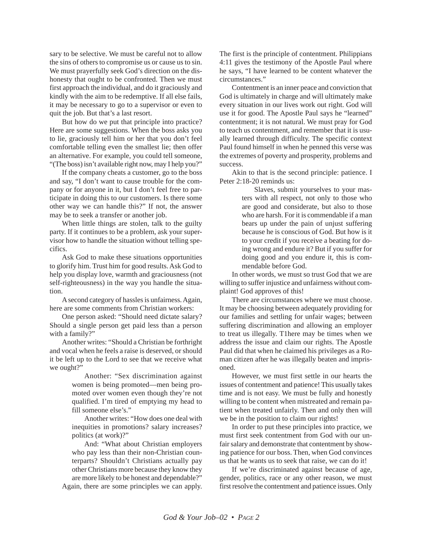sary to be selective. We must be careful not to allow the sins of others to compromise us or cause us to sin. We must prayerfully seek God's direction on the dishonesty that ought to be confronted. Then we must first approach the individual, and do it graciously and kindly with the aim to be redemptive. If all else fails, it may be necessary to go to a supervisor or even to quit the job. But that's a last resort.

But how do we put that principle into practice? Here are some suggestions. When the boss asks you to lie, graciously tell him or her that you don't feel comfortable telling even the smallest lie; then offer an alternative. For example, you could tell someone, "(The boss) isn't available right now, may I help you?"

If the company cheats a customer, go to the boss and say, "I don't want to cause trouble for the company or for anyone in it, but I don't feel free to participate in doing this to our customers. Is there some other way we can handle this?" If not, the answer may be to seek a transfer or another job.

When little things are stolen, talk to the guilty party. If it continues to be a problem, ask your supervisor how to handle the situation without telling specifics.

Ask God to make these situations opportunities to glorify him. Trust him for good results. Ask God to help you display love, warmth and graciousness (not self-righteousness) in the way you handle the situation.

A second category of hassles is unfairness. Again, here are some comments from Christian workers:

One person asked: "Should need dictate salary? Should a single person get paid less than a person with a family?"

Another writes: "Should a Christian be forthright and vocal when he feels a raise is deserved, or should it be left up to the Lord to see that we receive what we ought?"

> Another: "Sex discrimination against women is being promoted—men being promoted over women even though they're not qualified. I'm tired of emptying my head to fill someone else's."

> Another writes: "How does one deal with inequities in promotions? salary increases? politics (at work)?"

> And: "What about Christian employers who pay less than their non-Christian counterparts? Shouldn't Christians actually pay other Christians more because they know they are more likely to be honest and dependable?"

Again, there are some principles we can apply.

The first is the principle of contentment. Philippians 4:11 gives the testimony of the Apostle Paul where he says, "I have learned to be content whatever the circumstances."

Contentment is an inner peace and conviction that God is ultimately in charge and will ultimately make every situation in our lives work out right. God will use it for good. The Apostle Paul says he "learned" contentment; it is not natural. We must pray for God to teach us contentment, and remember that it is usually learned through difficulty. The specific context Paul found himself in when he penned this verse was the extremes of poverty and prosperity, problems and success.

Akin to that is the second principle: patience. I Peter 2:18-20 reminds us:

> Slaves, submit yourselves to your masters with all respect, not only to those who are good and considerate, but also to those who are harsh. For it is commendable if a man bears up under the pain of unjust suffering because he is conscious of God. But how is it to your credit if you receive a beating for doing wrong and endure it? But if you suffer for doing good and you endure it, this is commendable before God.

In other words, we must so trust God that we are willing to suffer injustice and unfairness without complaint! God approves of this!

There are circumstances where we must choose. It may be choosing between adequately providing for our families and settling for unfair wages; between suffering discrimination and allowing an employer to treat us illegally. T1here may be times when we address the issue and claim our rights. The Apostle Paul did that when he claimed his privileges as a Roman citizen after he was illegally beaten and imprisoned.

However, we must first settle in our hearts the issues of contentment and patience! This usually takes time and is not easy. We must be fully and honestly willing to be content when mistreated and remain patient when treated unfairly. Then and only then will we be in the position to claim our rights!

In order to put these principles into practice, we must first seek contentment from God with our unfair salary and demonstrate that contentment by showing patience for our boss. Then, when God convinces us that he wants us to seek that raise, we can do it!

If we're discriminated against because of age, gender, politics, race or any other reason, we must first resolve the contentment and patience issues. Only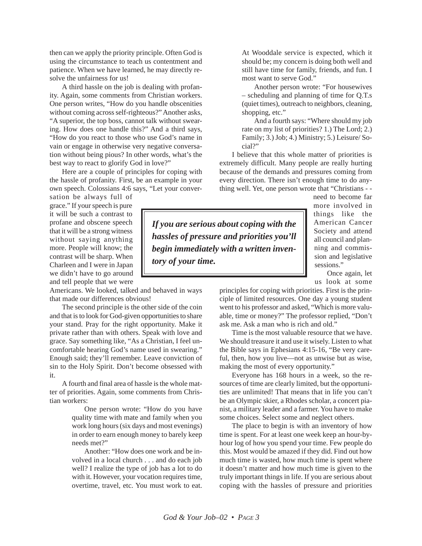then can we apply the priority principle. Often God is using the circumstance to teach us contentment and patience. When we have learned, he may directly resolve the unfairness for us!

A third hassle on the job is dealing with profanity. Again, some comments from Christian workers. One person writes, "How do you handle obscenities without coming across self-righteous?" Another asks, "A superior, the top boss, cannot talk without swearing. How does one handle this?" And a third says, "How do you react to those who use God's name in vain or engage in otherwise very negative conversation without being pious? In other words, what's the best way to react to glorify God in love?"

Here are a couple of principles for coping with the hassle of profanity. First, be an example in your own speech. Colossians 4:6 says, "Let your conver-

sation be always full of grace." If your speech is pure it will be such a contrast to profane and obscene speech that it will be a strong witness without saying anything more. People will know; the contrast will be sharp. When Charleen and I were in Japan we didn't have to go around and tell people that we were

Americans. We looked, talked and behaved in ways that made our differences obvious!

The second principle is the other side of the coin and that is to look for God-given opportunities to share your stand. Pray for the right opportunity. Make it private rather than with others. Speak with love and grace. Say something like, "As a Christian, I feel uncomfortable hearing God's name used in swearing." Enough said; they'll remember. Leave conviction of sin to the Holy Spirit. Don't become obsessed with it.

A fourth and final area of hassle is the whole matter of priorities. Again, some comments from Christian workers:

> One person wrote: "How do you have quality time with mate and family when you work long hours (six days and most evenings) in order to earn enough money to barely keep needs met?"

> Another: "How does one work and be involved in a local church . . . and do each job well? I realize the type of job has a lot to do with it. However, your vocation requires time, overtime, travel, etc. You must work to eat.

At Wooddale service is expected, which it should be; my concern is doing both well and still have time for family, friends, and fun. I most want to serve God."

Another person wrote: "For housewives – scheduling and planning of time for Q.T.s (quiet times), outreach to neighbors, cleaning, shopping, etc."

And a fourth says: "Where should my job rate on my list of priorities? 1.) The Lord; 2.) Family; 3.) Job; 4.) Ministry; 5.) Leisure/ Social?"

I believe that this whole matter of priorities is extremely difficult. Many people are really hurting because of the demands and pressures coming from every direction. There isn't enough time to do anything well. Yet, one person wrote that "Christians - -

*If you are serious about coping with the hassles of pressure and priorities you'll begin immediately with a written inventory of your time.*

need to become far more involved in things like the American Cancer Society and attend all council and planning and commission and legislative sessions."

Once again, let us look at some

principles for coping with priorities. First is the principle of limited resources. One day a young student went to his professor and asked, "Which is more valuable, time or money?" The professor replied, "Don't ask me. Ask a man who is rich and old."

Time is the most valuable resource that we have. We should treasure it and use it wisely. Listen to what the Bible says in Ephesians 4:15-16, "Be very careful, then, how you live—not as unwise but as wise, making the most of every opportunity."

Everyone has 168 hours in a week, so the resources of time are clearly limited, but the opportunities are unlimited! That means that in life you can't be an Olympic skier, a Rhodes scholar, a concert pianist, a military leader and a farmer. You have to make some choices. Select some and neglect others.

The place to begin is with an inventory of how time is spent. For at least one week keep an hour-byhour log of how you spend your time. Few people do this. Most would be amazed if they did. Find out how much time is wasted, how much time is spent where it doesn't matter and how much time is given to the truly important things in life. If you are serious about coping with the hassles of pressure and priorities